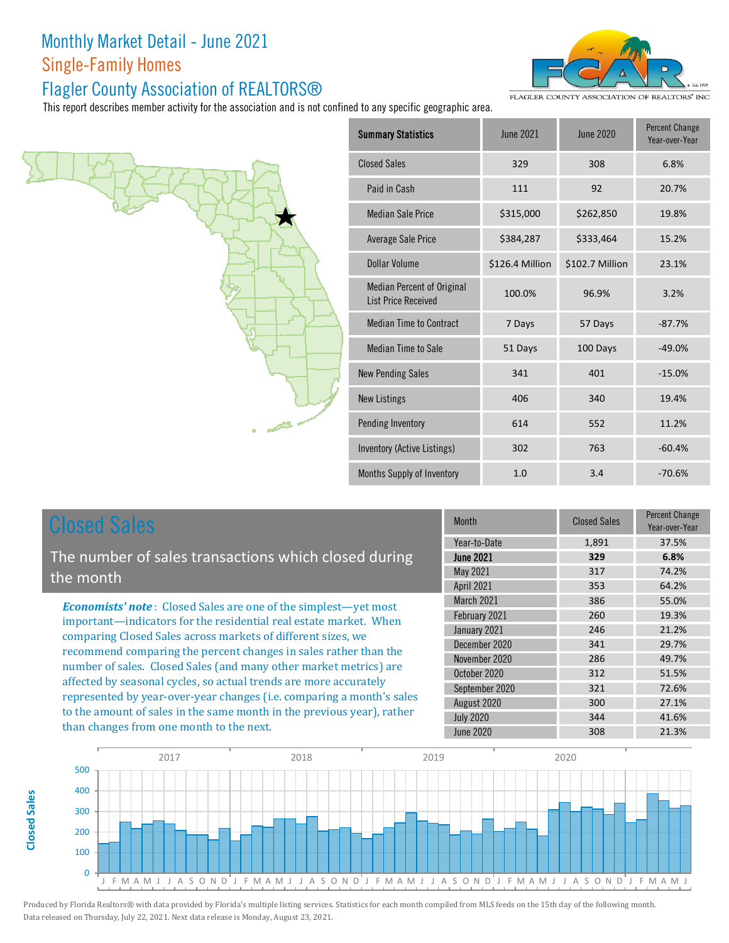#### Flagler County Association of REALTORS®

This report describes mem



| nber activity for the association and is not confined to any specific geographic area. |                                                                 |                  |                  |                                         |
|----------------------------------------------------------------------------------------|-----------------------------------------------------------------|------------------|------------------|-----------------------------------------|
|                                                                                        | <b>Summary Statistics</b>                                       | <b>June 2021</b> | <b>June 2020</b> | <b>Percent Change</b><br>Year-over-Year |
|                                                                                        | <b>Closed Sales</b>                                             | 329              | 308              | 6.8%                                    |
|                                                                                        | Paid in Cash                                                    | 111              | 92               | 20.7%                                   |
|                                                                                        | <b>Median Sale Price</b>                                        | \$315,000        | \$262,850        | 19.8%                                   |
|                                                                                        | <b>Average Sale Price</b>                                       | \$384,287        | \$333,464        | 15.2%                                   |
|                                                                                        | <b>Dollar Volume</b>                                            | \$126.4 Million  | \$102.7 Million  | 23.1%                                   |
|                                                                                        | <b>Median Percent of Original</b><br><b>List Price Received</b> | 100.0%           | 96.9%            | 3.2%                                    |
|                                                                                        | <b>Median Time to Contract</b>                                  | 7 Days           | 57 Days          | $-87.7%$                                |
|                                                                                        | <b>Median Time to Sale</b>                                      | 51 Days          | 100 Days         | $-49.0%$                                |
|                                                                                        | <b>New Pending Sales</b>                                        | 341              | 401              | $-15.0%$                                |
|                                                                                        | <b>New Listings</b>                                             | 406              | 340              | 19.4%                                   |
|                                                                                        | Pending Inventory                                               | 614              | 552              | 11.2%                                   |
|                                                                                        | Inventory (Active Listings)                                     | 302              | 763              | $-60.4%$                                |
|                                                                                        |                                                                 |                  |                  |                                         |

Months Supply of Inventory 1.0

# Closed Sales

**Closed SalesClosed Sales**  The number of sales transactions which closed during the month

*Economists' note* : Closed Sales are one of the simplest—yet most important—indicators for the residential real estate market. When comparing Closed Sales across markets of different sizes, we recommend comparing the percent changes in sales rather than the number of sales. Closed Sales (and many other market metrics) are affected by seasonal cycles, so actual trends are more accurately represented by year-over-year changes (i.e. comparing a month's sales to the amount of sales in the same month in the previous year), rather than changes from one month to the next.

| <b>Month</b>     | <b>Closed Sales</b> | Percent Change<br>Year-over-Year |
|------------------|---------------------|----------------------------------|
| Year-to-Date     | 1,891               | 37.5%                            |
| <b>June 2021</b> | 329                 | 6.8%                             |
| May 2021         | 317                 | 74.2%                            |
| April 2021       | 353                 | 64.2%                            |
| March 2021       | 386                 | 55.0%                            |
| February 2021    | 260                 | 19.3%                            |
| January 2021     | 246                 | 21.2%                            |
| December 2020    | 341                 | 29.7%                            |
| November 2020    | 286                 | 49.7%                            |
| October 2020     | 312                 | 51.5%                            |
| September 2020   | 321                 | 72.6%                            |
| August 2020      | 300                 | 27.1%                            |
| <b>July 2020</b> | 344                 | 41.6%                            |
| <b>June 2020</b> | 308                 | 21.3%                            |

3.4 -70.6%

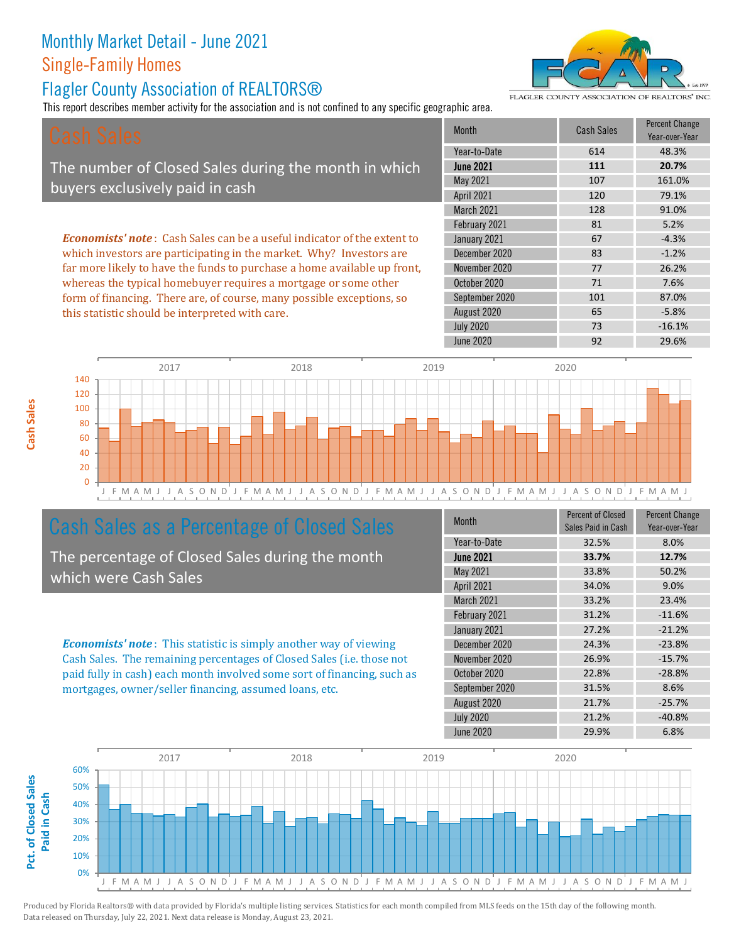#### Flagler County Association of REALTORS®

this statistic should be interpreted with care.

This report describes member activity for the association and is not confined to any specific geographic area.



FLAGLER COUNTY ASSOCIATION OF REALTORS' INC

65 -5.8%

| Cash Sales                                                                     | <b>Month</b>      | <b>Cash Sales</b> | <b>Percent Change</b><br>Year-over-Year |
|--------------------------------------------------------------------------------|-------------------|-------------------|-----------------------------------------|
|                                                                                | Year-to-Date      | 614               | 48.3%                                   |
| The number of Closed Sales during the month in which                           | <b>June 2021</b>  | 111               | 20.7%                                   |
| buyers exclusively paid in cash                                                | May 2021          | 107               | 161.0%                                  |
|                                                                                | <b>April 2021</b> | 120               | 79.1%                                   |
|                                                                                | <b>March 2021</b> | 128               | 91.0%                                   |
|                                                                                | February 2021     | 81                | 5.2%                                    |
| <b>Economists' note:</b> Cash Sales can be a useful indicator of the extent to | January 2021      | 67                | $-4.3%$                                 |
| which investors are participating in the market. Why? Investors are            | December 2020     | 83                | $-1.2%$                                 |
| far more likely to have the funds to purchase a home available up front,       | November 2020     | 77                | 26.2%                                   |
| whereas the typical homebuyer requires a mortgage or some other                | October 2020      | 71                | 7.6%                                    |
| form of financing. There are, of course, many possible exceptions, so          | September 2020    | 101               | 87.0%                                   |

J F M A M J J A S O N D J F M A M J J A S O N D J F M A M J J A S O N D J F M A M J J A S O N D J F M A M J 0 20 40 60 80 100 120 140 2017 2018 2019 2020

### Cash Sales as a Percentage of Closed Sales

The percentage of Closed Sales during the month which were Cash Sales

*Economists' note* : This statistic is simply another way of viewing Cash Sales. The remaining percentages of Closed Sales (i.e. those not paid fully in cash) each month involved some sort of financing, such as mortgages, owner/seller financing, assumed loans, etc.

| <b>Month</b>     | <b>Percent of Closed</b><br>Sales Paid in Cash | <b>Percent Change</b><br>Year-over-Year |
|------------------|------------------------------------------------|-----------------------------------------|
| Year-to-Date     | 32.5%                                          | 8.0%                                    |
| <b>June 2021</b> | 33.7%                                          | 12.7%                                   |
| May 2021         | 33.8%                                          | 50.2%                                   |
| April 2021       | 34.0%                                          | 9.0%                                    |
| March 2021       | 33.2%                                          | 23.4%                                   |
| February 2021    | 31.2%                                          | $-11.6%$                                |
| January 2021     | 27.2%                                          | $-21.2%$                                |
| December 2020    | 24.3%                                          | $-23.8%$                                |
| November 2020    | 26.9%                                          | $-15.7%$                                |
| October 2020     | 22.8%                                          | $-28.8%$                                |
| September 2020   | 31.5%                                          | 8.6%                                    |
| August 2020      | 21.7%                                          | $-25.7%$                                |
| <b>July 2020</b> | 21.2%                                          | $-40.8%$                                |
| <b>June 2020</b> | 29.9%                                          | 6.8%                                    |

July 2020 73 -16.1%

August 2020

June 2020 **92** 29.6%

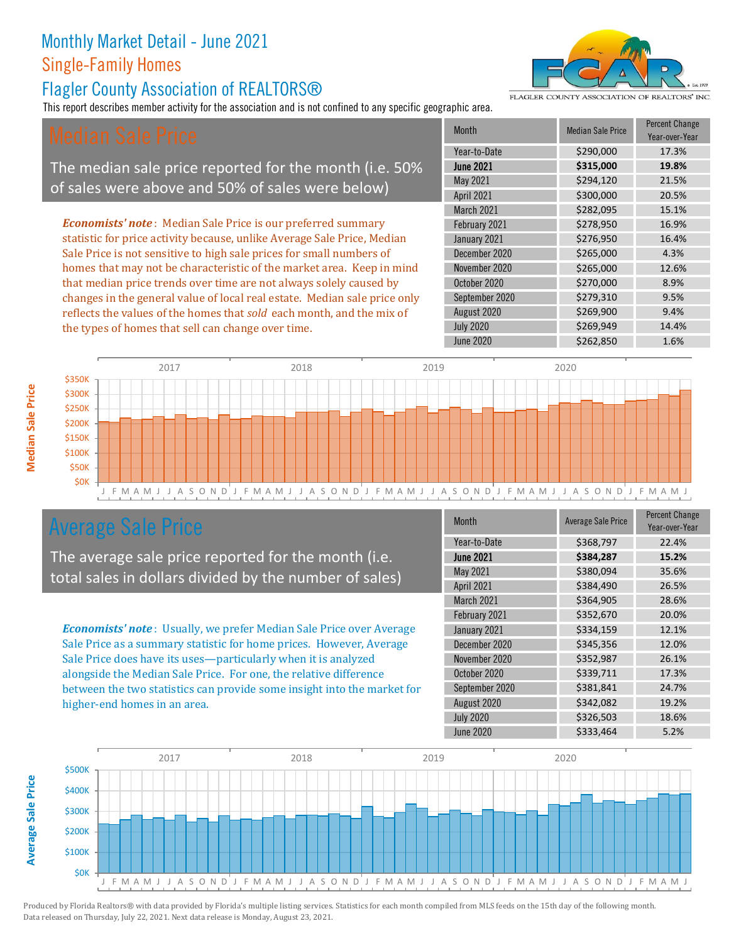#### Flagler County Association of REALTORS®

This report describes member activity for the association and is not confined to any specific geographic area.

The median sale price reported for the month (i.e. 50% of sales were above and 50% of sales were below)

*Economists' note* : Median Sale Price is our preferred summary statistic for price activity because, unlike Average Sale Price, Median Sale Price is not sensitive to high sale prices for small numbers of homes that may not be characteristic of the market area. Keep in mind that median price trends over time are not always solely caused by changes in the general value of local real estate. Median sale price only reflects the values of the homes that *sold* each month, and the mix of the types of homes that sell can change over time.

| Month            | Median Sale Price | Year-over-Year |
|------------------|-------------------|----------------|
| Year-to-Date     | \$290,000         | 17.3%          |
| <b>June 2021</b> | \$315,000         | 19.8%          |
| May 2021         | \$294,120         | 21.5%          |
| April 2021       | \$300,000         | 20.5%          |
| March 2021       | \$282,095         | 15.1%          |
| February 2021    | \$278,950         | 16.9%          |
| January 2021     | \$276,950         | 16.4%          |
| December 2020    | \$265,000         | 4.3%           |
| November 2020    | \$265,000         | 12.6%          |
| October 2020     | \$270,000         | 8.9%           |
| September 2020   | \$279,310         | 9.5%           |
| August 2020      | \$269,900         | 9.4%           |
| <b>July 2020</b> | \$269,949         | 14.4%          |
| <b>June 2020</b> | \$262,850         | 1.6%           |

**Month Median Sale Percent Change** 



## Average Sale Price

The average sale price reported for the month (i.e. total sales in dollars divided by the number of sales)

*Economists' note* : Usually, we prefer Median Sale Price over Average Sale Price as a summary statistic for home prices. However, Average Sale Price does have its uses—particularly when it is analyzed alongside the Median Sale Price. For one, the relative difference between the two statistics can provide some insight into the market for higher-end homes in an area.

| Month            | <b>Average Sale Price</b> | <b>Percent Change</b><br>Year-over-Year |
|------------------|---------------------------|-----------------------------------------|
| Year-to-Date     | \$368,797                 | 22.4%                                   |
| <b>June 2021</b> | \$384,287                 | 15.2%                                   |
| May 2021         | \$380,094                 | 35.6%                                   |
| April 2021       | \$384,490                 | 26.5%                                   |
| March 2021       | \$364,905                 | 28.6%                                   |
| February 2021    | \$352,670                 | 20.0%                                   |
| January 2021     | \$334,159                 | 12.1%                                   |
| December 2020    | \$345,356                 | 12.0%                                   |
| November 2020    | \$352,987                 | 26.1%                                   |
| October 2020     | \$339,711                 | 17.3%                                   |
| September 2020   | \$381,841                 | 24.7%                                   |
| August 2020      | \$342,082                 | 19.2%                                   |
| <b>July 2020</b> | \$326,503                 | 18.6%                                   |
| <b>June 2020</b> | \$333,464                 | 5.2%                                    |





**Average Sale Price Average Sale Price**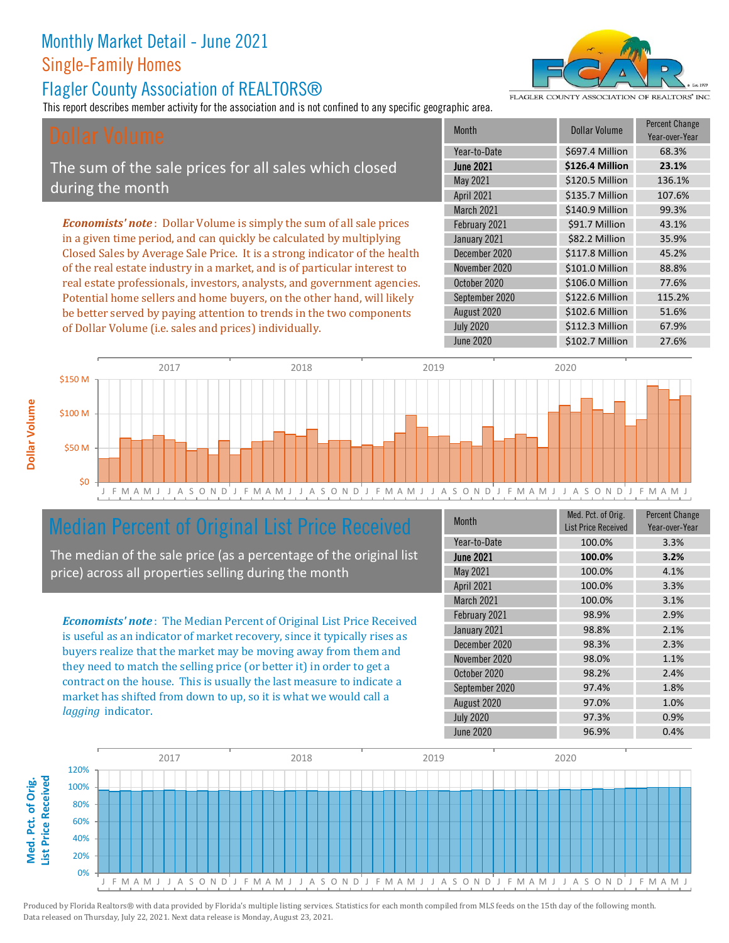#### Flagler County Association of REALTORS®

This report describes member activity for the association and is not confined to any specific geographic area.

FLAGLER COUNTY ASSOCIATION OF REALTORS' INC.

The sum of the sale prices for all sales which closed during the month

*Economists' note* : Dollar Volume is simply the sum of all sale prices in a given time period, and can quickly be calculated by multiplying Closed Sales by Average Sale Price. It is a strong indicator of the health of the real estate industry in a market, and is of particular interest to real estate professionals, investors, analysts, and government agencies. Potential home sellers and home buyers, on the other hand, will likely be better served by paying attention to trends in the two components of Dollar Volume (i.e. sales and prices) individually.





## Median Percent of Original List Price Received

The median of the sale price (as a percentage of the original list price) across all properties selling during the month

*Economists' note* : The Median Percent of Original List Price Received is useful as an indicator of market recovery, since it typically rises as buyers realize that the market may be moving away from them and they need to match the selling price (or better it) in order to get a contract on the house. This is usually the last measure to indicate a market has shifted from down to up, so it is what we would call a *lagging* indicator.

| <b>Month</b>     | Med. Pct. of Orig.<br><b>List Price Received</b> | <b>Percent Change</b><br>Year-over-Year |
|------------------|--------------------------------------------------|-----------------------------------------|
| Year-to-Date     | 100.0%                                           | 3.3%                                    |
| <b>June 2021</b> | 100.0%                                           | 3.2%                                    |
| May 2021         | 100.0%                                           | 4.1%                                    |
| April 2021       | 100.0%                                           | 3.3%                                    |
| March 2021       | 100.0%                                           | 3.1%                                    |
| February 2021    | 98.9%                                            | 2.9%                                    |
| January 2021     | 98.8%                                            | 2.1%                                    |
| December 2020    | 98.3%                                            | 2.3%                                    |
| November 2020    | 98.0%                                            | 1.1%                                    |
| October 2020     | 98.2%                                            | 2.4%                                    |
| September 2020   | 97.4%                                            | 1.8%                                    |
| August 2020      | 97.0%                                            | 1.0%                                    |
| <b>July 2020</b> | 97.3%                                            | 0.9%                                    |
| <b>June 2020</b> | 96.9%                                            | 0.4%                                    |

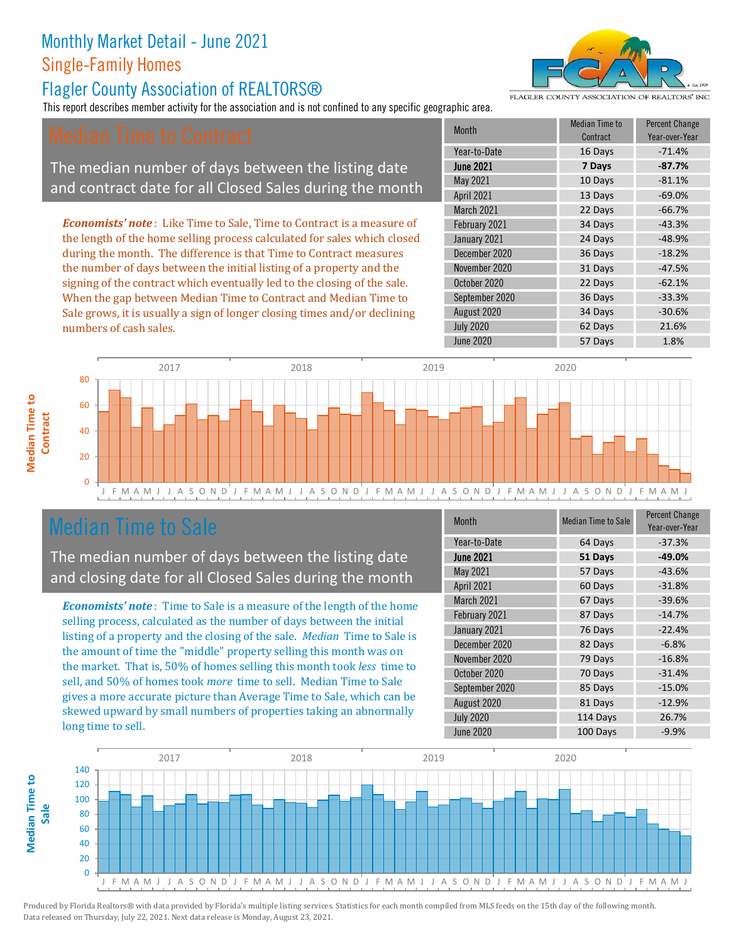#### Flagler County Association of REALTORS®

This report describes member activity for the association and is not confined to any specific geographic area.

The median number of days between the listing date and contract date for all Closed Sales during the month

*Economists' note* : Like Time to Sale, Time to Contract is a measure of the length of the home selling process calculated for sales which closed during the month. The difference is that Time to Contract measures the number of days between the initial listing of a property and the signing of the contract which eventually led to the closing of the sale. When the gap between Median Time to Contract and Median Time to Sale grows, it is usually a sign of longer closing times and/or declining numbers of cash sales.

| Month            | Median Time to<br>Contract | <b>Percent Change</b><br>Year-over-Year |
|------------------|----------------------------|-----------------------------------------|
| Year-to-Date     | 16 Days                    | $-71.4%$                                |
| <b>June 2021</b> | 7 Days                     | $-87.7%$                                |
| May 2021         | 10 Days                    | $-81.1%$                                |
| April 2021       | 13 Days                    | $-69.0%$                                |
| March 2021       | 22 Days                    | $-66.7%$                                |
| February 2021    | 34 Days                    | $-43.3%$                                |
| January 2021     | 24 Days                    | $-48.9%$                                |
| December 2020    | 36 Days                    | $-18.2%$                                |
| November 2020    | 31 Days                    | $-47.5%$                                |
| October 2020     | 22 Days                    | $-62.1%$                                |
| September 2020   | 36 Days                    | $-33.3%$                                |
| August 2020      | 34 Days                    | $-30.6%$                                |
| <b>July 2020</b> | 62 Days                    | 21.6%                                   |
| <b>June 2020</b> | 57 Days                    | 1.8%                                    |



#### Median Time to Sale

**Median Time to** 

**Median Time to** 

The median number of days between the listing date and closing date for all Closed Sales during the month

*Economists' note* : Time to Sale is a measure of the length of the home selling process, calculated as the number of days between the initial listing of a property and the closing of the sale. *Median* Time to Sale is the amount of time the "middle" property selling this month was on the market. That is, 50% of homes selling this month took *less* time to sell, and 50% of homes took *more* time to sell. Median Time to Sale gives a more accurate picture than Average Time to Sale, which can be skewed upward by small numbers of properties taking an abnormally long time to sell.

| <b>Month</b>     | <b>Median Time to Sale</b> | <b>Percent Change</b><br>Year-over-Year |
|------------------|----------------------------|-----------------------------------------|
| Year-to-Date     | 64 Days                    | $-37.3%$                                |
| <b>June 2021</b> | 51 Days                    | $-49.0%$                                |
| May 2021         | 57 Days                    | $-43.6%$                                |
| April 2021       | 60 Days                    | $-31.8%$                                |
| March 2021       | 67 Days                    | $-39.6%$                                |
| February 2021    | 87 Days                    | $-14.7%$                                |
| January 2021     | 76 Days                    | $-22.4%$                                |
| December 2020    | 82 Days                    | $-6.8%$                                 |
| November 2020    | 79 Days                    | $-16.8%$                                |
| October 2020     | 70 Days                    | $-31.4%$                                |
| September 2020   | 85 Days                    | $-15.0%$                                |
| August 2020      | 81 Days                    | $-12.9%$                                |
| <b>July 2020</b> | 114 Days                   | 26.7%                                   |
| June 2020        | 100 Days                   | $-9.9%$                                 |





FLAGLER COUNTY ASSOCIATION OF REALTORS' INC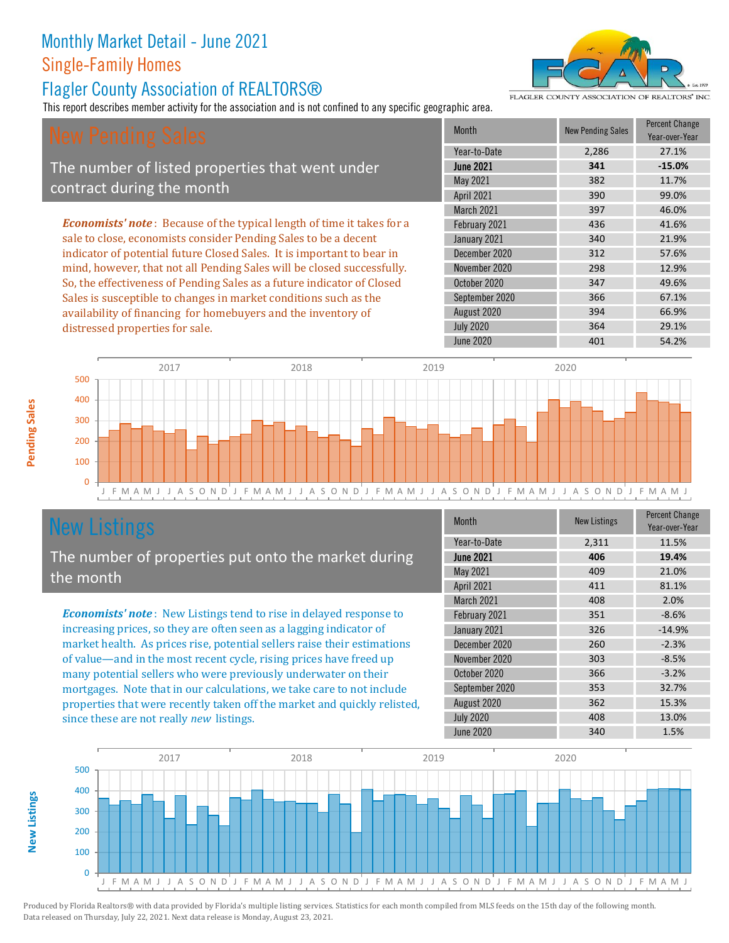#### Flagler County Association of REALTORS®

This report describes member activity for the association and is not confined to any specific geographic area.

FLAGLER COUNTY ASSOCIATION OF REALTORS' INC

The number of listed properties that went under contract during the month

*Economists' note* : Because of the typical length of time it takes for a sale to close, economists consider Pending Sales to be a decent indicator of potential future Closed Sales. It is important to bear in mind, however, that not all Pending Sales will be closed successfully. So, the effectiveness of Pending Sales as a future indicator of Closed Sales is susceptible to changes in market conditions such as the availability of financing for homebuyers and the inventory of distressed properties for sale.

| <b>Month</b>      | <b>New Pending Sales</b> | <b>Percent Change</b><br>Year-over-Year |
|-------------------|--------------------------|-----------------------------------------|
| Year-to-Date      | 2,286                    | 27.1%                                   |
| <b>June 2021</b>  | 341                      | $-15.0%$                                |
| May 2021          | 382                      | 11.7%                                   |
| April 2021        | 390                      | 99.0%                                   |
| <b>March 2021</b> | 397                      | 46.0%                                   |
| February 2021     | 436                      | 41.6%                                   |
| January 2021      | 340                      | 21.9%                                   |
| December 2020     | 312                      | 57.6%                                   |
| November 2020     | 298                      | 12.9%                                   |
| October 2020      | 347                      | 49.6%                                   |
| September 2020    | 366                      | 67.1%                                   |
| August 2020       | 394                      | 66.9%                                   |
| <b>July 2020</b>  | 364                      | 29.1%                                   |
| <b>June 2020</b>  | 401                      | 54.2%                                   |



## New Listings

The number of properties put onto the market during the month

*Economists' note* : New Listings tend to rise in delayed response to increasing prices, so they are often seen as a lagging indicator of market health. As prices rise, potential sellers raise their estimations of value—and in the most recent cycle, rising prices have freed up many potential sellers who were previously underwater on their mortgages. Note that in our calculations, we take care to not include properties that were recently taken off the market and quickly relisted, since these are not really *new* listings.

| Month             | <b>New Listings</b> | <b>Percent Change</b><br>Year-over-Year |
|-------------------|---------------------|-----------------------------------------|
| Year-to-Date      | 2,311               | 11.5%                                   |
| <b>June 2021</b>  | 406                 | 19.4%                                   |
| May 2021          | 409                 | 21.0%                                   |
| April 2021        | 411                 | 81.1%                                   |
| <b>March 2021</b> | 408                 | 2.0%                                    |
| February 2021     | 351                 | $-8.6%$                                 |
| January 2021      | 326                 | $-14.9%$                                |
| December 2020     | 260                 | $-2.3%$                                 |
| November 2020     | 303                 | $-8.5%$                                 |
| October 2020      | 366                 | $-3.2%$                                 |
| September 2020    | 353                 | 32.7%                                   |
| August 2020       | 362                 | 15.3%                                   |
| <b>July 2020</b>  | 408                 | 13.0%                                   |
| <b>June 2020</b>  | 340                 | 1.5%                                    |



Produced by Florida Realtors® with data provided by Florida's multiple listing services. Statistics for each month compiled from MLS feeds on the 15th day of the following month. Data released on Thursday, July 22, 2021. Next data release is Monday, August 23, 2021.

**New Listings**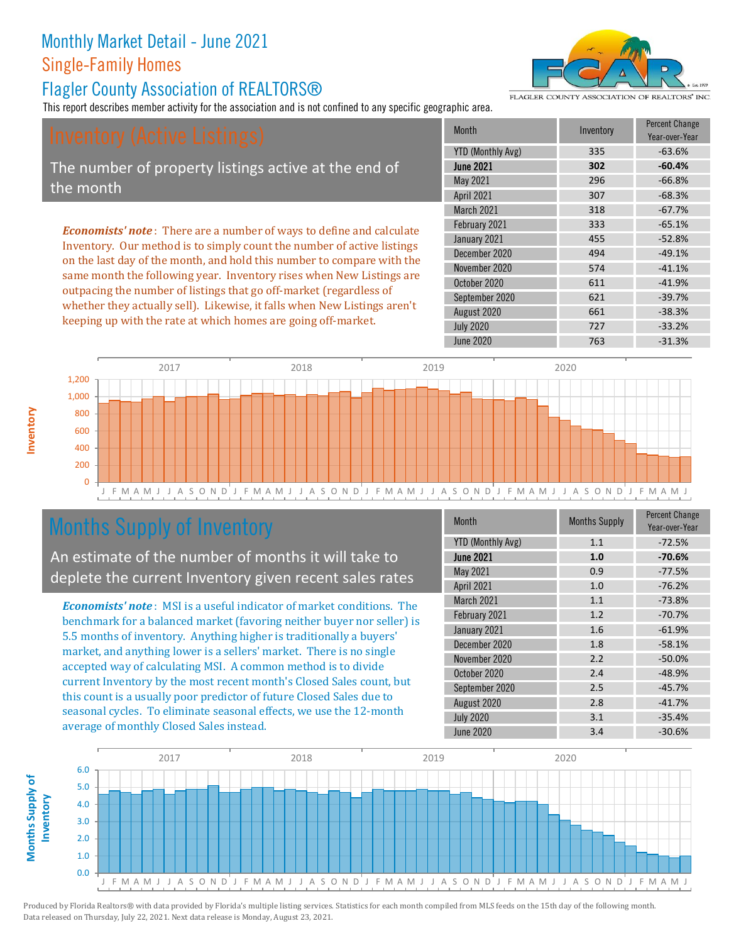#### Flagler County Association of REALTORS®

This report describes member activity for the association and is not confined to any specific geographic area.

The number of property listings active at the end of the month

*Economists' note* : There are a number of ways to define and calculate Inventory. Our method is to simply count the number of active listings on the last day of the month, and hold this number to compare with the same month the following year. Inventory rises when New Listings are outpacing the number of listings that go off-market (regardless of whether they actually sell). Likewise, it falls when New Listings aren't keeping up with the rate at which homes are going off-market.

| <b>Month</b>             | Inventory | <b>Percent Change</b><br>Year-over-Year |
|--------------------------|-----------|-----------------------------------------|
| <b>YTD (Monthly Avg)</b> | 335       | $-63.6%$                                |
| <b>June 2021</b>         | 302       | $-60.4%$                                |
| May 2021                 | 296       | $-66.8%$                                |
| April 2021               | 307       | $-68.3%$                                |
| March 2021               | 318       | $-67.7%$                                |
| February 2021            | 333       | $-65.1%$                                |
| January 2021             | 455       | $-52.8%$                                |
| December 2020            | 494       | $-49.1%$                                |
| November 2020            | 574       | $-41.1%$                                |
| October 2020             | 611       | $-41.9%$                                |
| September 2020           | 621       | $-39.7%$                                |
| August 2020              | 661       | $-38.3%$                                |
| <b>July 2020</b>         | 727       | $-33.2%$                                |
| <b>June 2020</b>         | 763       | $-31.3%$                                |



## Months Supply of Inventory

An estimate of the number of months it will take to deplete the current Inventory given recent sales rates

*Economists' note* : MSI is a useful indicator of market conditions. The benchmark for a balanced market (favoring neither buyer nor seller) is 5.5 months of inventory. Anything higher is traditionally a buyers' market, and anything lower is a sellers' market. There is no single accepted way of calculating MSI. A common method is to divide current Inventory by the most recent month's Closed Sales count, but this count is a usually poor predictor of future Closed Sales due to seasonal cycles. To eliminate seasonal effects, we use the 12-month average of monthly Closed Sales instead.

| <b>Month</b>             | <b>Months Supply</b> | <b>Percent Change</b><br>Year-over-Year |
|--------------------------|----------------------|-----------------------------------------|
| <b>YTD (Monthly Avg)</b> | 1.1                  | $-72.5%$                                |
| <b>June 2021</b>         | 1.0                  | $-70.6%$                                |
| May 2021                 | 0.9                  | $-77.5%$                                |
| April 2021               | 1.0                  | $-76.2%$                                |
| March 2021               | 1.1                  | $-73.8%$                                |
| February 2021            | 1.2                  | $-70.7%$                                |
| January 2021             | 1.6                  | $-61.9%$                                |
| December 2020            | 1.8                  | $-58.1%$                                |
| November 2020            | 2.2                  | $-50.0%$                                |
| October 2020             | 2.4                  | $-48.9%$                                |
| September 2020           | 2.5                  | $-45.7%$                                |
| August 2020              | 2.8                  | $-41.7%$                                |
| <b>July 2020</b>         | 3.1                  | $-35.4%$                                |
| <b>June 2020</b>         | 3.4                  | $-30.6%$                                |





FLAGLER COUNTY ASSOCIATION OF REALTORS' INC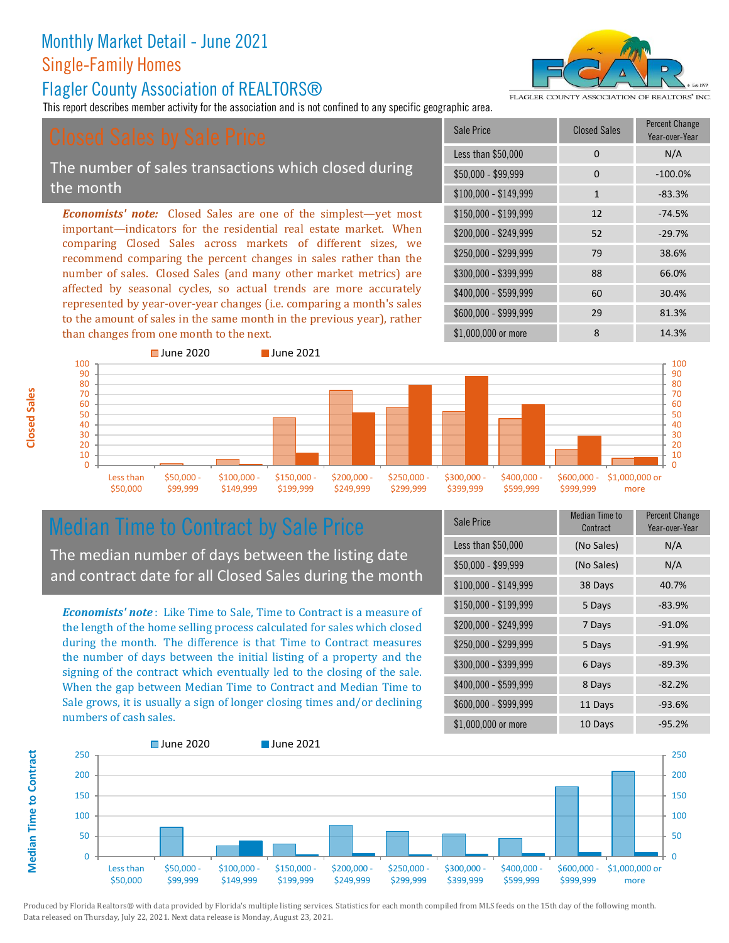#### Flagler County Association of REALTORS®

This report describes member activity for the association and is not confined to any specific geographic area.

#### The number of sales transactions which closed during the month

*Economists' note:* Closed Sales are one of the simplest—yet most important—indicators for the residential real estate market. When comparing Closed Sales across markets of different sizes, we recommend comparing the percent changes in sales rather than the number of sales. Closed Sales (and many other market metrics) are affected by seasonal cycles, so actual trends are more accurately represented by year-over-year changes (i.e. comparing a month's sales to the amount of sales in the same month in the previous year), rather than changes from one month to the next.





Less than \$50,000





## Median Time to Contract by Sale Price

\$50,000 - \$99,999

The median number of days between the listing date and contract date for all Closed Sales during the month

\$100,000 \$149,999

*Economists' note* : Like Time to Sale, Time to Contract is a measure of the length of the home selling process calculated for sales which closed during the month. The difference is that Time to Contract measures the number of days between the initial listing of a property and the signing of the contract which eventually led to the closing of the sale. When the gap between Median Time to Contract and Median Time to Sale grows, it is usually a sign of longer closing times and/or declining numbers of cash sales.

| Sale Price            | Median Time to<br>Contract | <b>Percent Change</b><br>Year-over-Year |
|-----------------------|----------------------------|-----------------------------------------|
| Less than \$50,000    | (No Sales)                 | N/A                                     |
| \$50,000 - \$99,999   | (No Sales)                 | N/A                                     |
| $$100,000 - $149,999$ | 38 Days                    | 40.7%                                   |
| $$150,000 - $199,999$ | 5 Days                     | $-83.9%$                                |
| \$200,000 - \$249,999 | 7 Days                     | $-91.0%$                                |
| \$250,000 - \$299,999 | 5 Days                     | $-91.9%$                                |
| \$300,000 - \$399,999 | 6 Days                     | $-89.3%$                                |
| \$400,000 - \$599,999 | 8 Days                     | $-82.2%$                                |
| \$600,000 - \$999,999 | 11 Days                    | $-93.6%$                                |
| \$1,000,000 or more   | 10 Days                    | $-95.2%$                                |





Produced by Florida Realtors® with data provided by Florida's multiple listing services. Statistics for each month compiled from MLS feeds on the 15th day of the following month. Data released on Thursday, July 22, 2021. Next data release is Monday, August 23, 2021.

**Median Time to Contract Median Time to Contract**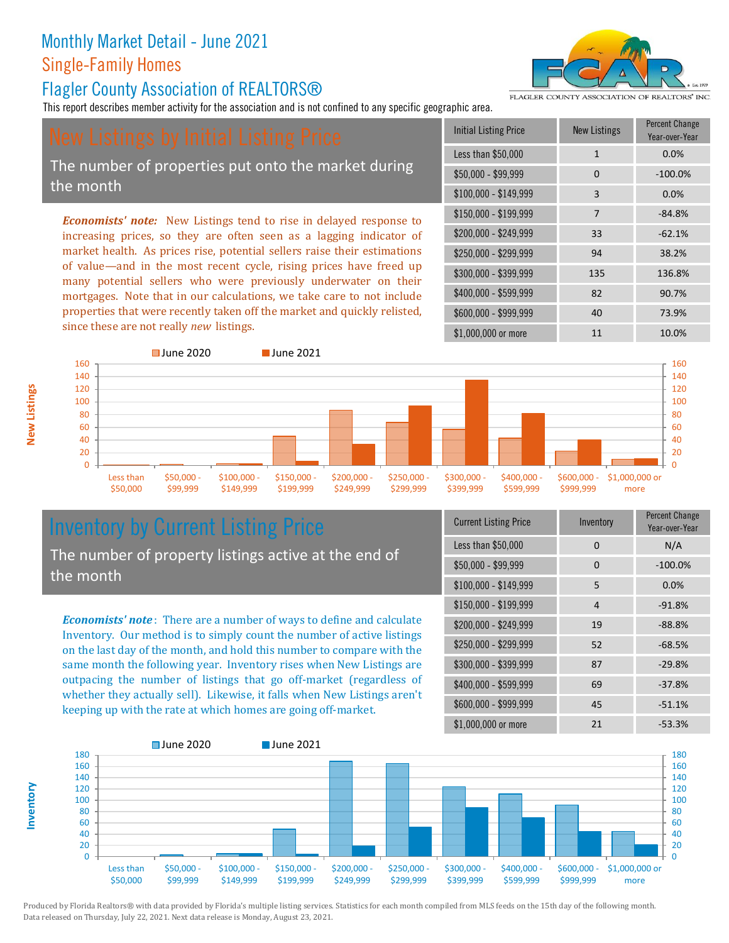#### Flagler County Association of REALTORS®

This report describes member activity for the association and is not confined to any specific geographic area.

FLAGLER COUNTY ASSOCIATION OF REALTORS' INC

The number of properties put onto the market during the month

*Economists' note:* New Listings tend to rise in delayed response to increasing prices, so they are often seen as a lagging indicator of market health. As prices rise, potential sellers raise their estimations of value—and in the most recent cycle, rising prices have freed up many potential sellers who were previously underwater on their mortgages. Note that in our calculations, we take care to not include properties that were recently taken off the market and quickly relisted, since these are not really *new* listings.

| <b>Initial Listing Price</b> | <b>New Listings</b> | <b>Percent Change</b><br>Year-over-Year |
|------------------------------|---------------------|-----------------------------------------|
| Less than \$50,000           | 1                   | 0.0%                                    |
| $$50,000 - $99,999$          | 0                   | $-100.0%$                               |
| $$100,000 - $149,999$        | 3                   | 0.0%                                    |
| $$150,000 - $199,999$        | 7                   | $-84.8%$                                |
| \$200,000 - \$249,999        | 33                  | $-62.1%$                                |
| \$250,000 - \$299,999        | 94                  | 38.2%                                   |
| \$300,000 - \$399,999        | 135                 | 136.8%                                  |
| \$400,000 - \$599,999        | 82                  | 90.7%                                   |
| \$600,000 - \$999,999        | 40                  | 73.9%                                   |
| \$1,000,000 or more          | 11                  | 10.0%                                   |



## Inventory by Current Listing Price

The number of property listings active at the end of the month

*Economists' note* : There are a number of ways to define and calculate Inventory. Our method is to simply count the number of active listings on the last day of the month, and hold this number to compare with the same month the following year. Inventory rises when New Listings are outpacing the number of listings that go off-market (regardless of whether they actually sell). Likewise, it falls when New Listings aren't keeping up with the rate at which homes are going off-market.

| <b>Current Listing Price</b> | Inventory | Percent Change<br>Year-over-Year |
|------------------------------|-----------|----------------------------------|
| Less than \$50,000           | 0         | N/A                              |
| $$50,000 - $99,999$          | 0         | $-100.0%$                        |
| $$100,000 - $149,999$        | 5         | 0.0%                             |
| $$150,000 - $199,999$        | 4         | $-91.8%$                         |
| \$200,000 - \$249,999        | 19        | $-88.8%$                         |
| \$250,000 - \$299,999        | 52        | $-68.5%$                         |
| \$300,000 - \$399,999        | 87        | $-29.8%$                         |
| \$400,000 - \$599,999        | 69        | $-37.8%$                         |
| \$600,000 - \$999,999        | 45        | $-51.1%$                         |
| \$1,000,000 or more          | 21        | $-53.3%$                         |



**Inventory**

**New Listings**